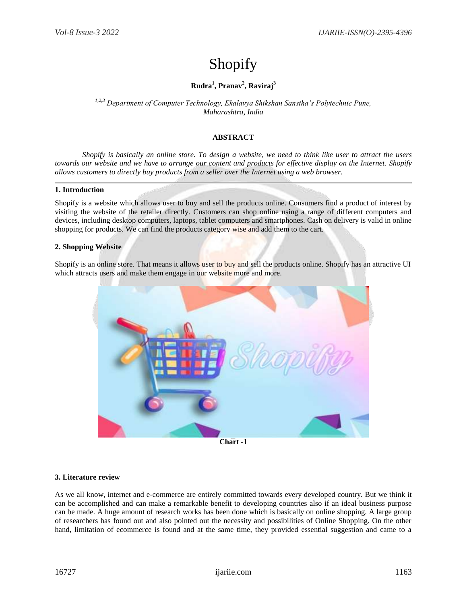# Shopify

# **Rudra<sup>1</sup> , Pranav<sup>2</sup> , Raviraj 3**

*1,2,3 Department of Computer Technology, Ekalavya Shikshan Sanstha's Polytechnic Pune, Maharashtra, India*

### **ABSTRACT**

*Shopify is basically an online store. To design a website, we need to think like user to attract the users towards our website and we have to arrange our content and products for effective display on the Internet. Shopify allows customers to directly buy products from a seller over the Internet using a web browser.*

#### **1. Introduction**

Shopify is a website which allows user to buy and sell the products online. Consumers find a product of interest by visiting the website of the retailer directly. Customers can shop online using a range of different computers and devices, including desktop computers, laptops, tablet computers and smartphones. Cash on delivery is valid in online shopping for products. We can find the products category wise and add them to the cart.

#### **2. Shopping Website**

Shopify is an online store. That means it allows user to buy and sell the products online. Shopify has an attractive UI which attracts users and make them engage in our website more and more.



**Chart -1**

#### **3. Literature review**

As we all know, internet and e-commerce are entirely committed towards every developed country. But we think it can be accomplished and can make a remarkable benefit to developing countries also if an ideal business purpose can be made. A huge amount of research works has been done which is basically on online shopping. A large group of researchers has found out and also pointed out the necessity and possibilities of Online Shopping. On the other hand, limitation of ecommerce is found and at the same time, they provided essential suggestion and came to a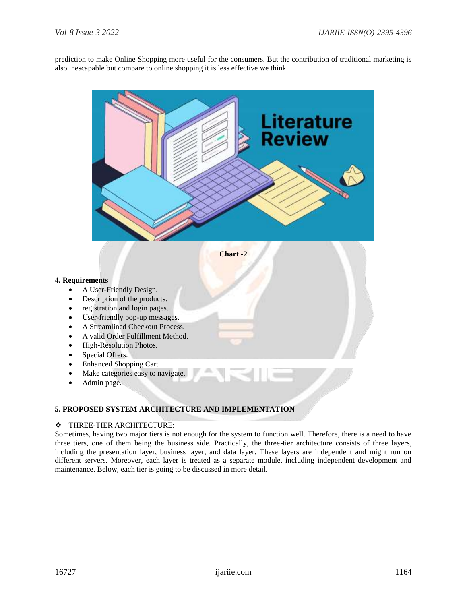prediction to make Online Shopping more useful for the consumers. But the contribution of traditional marketing is also inescapable but compare to online shopping it is less effective we think.



# **5. PROPOSED SYSTEM ARCHITECTURE AND IMPLEMENTATION**

#### THREE-TIER ARCHITECTURE:

Sometimes, having two major tiers is not enough for the system to function well. Therefore, there is a need to have three tiers, one of them being the business side. Practically, the three-tier architecture consists of three layers, including the presentation layer, business layer, and data layer. These layers are independent and might run on different servers. Moreover, each layer is treated as a separate module, including independent development and maintenance. Below, each tier is going to be discussed in more detail.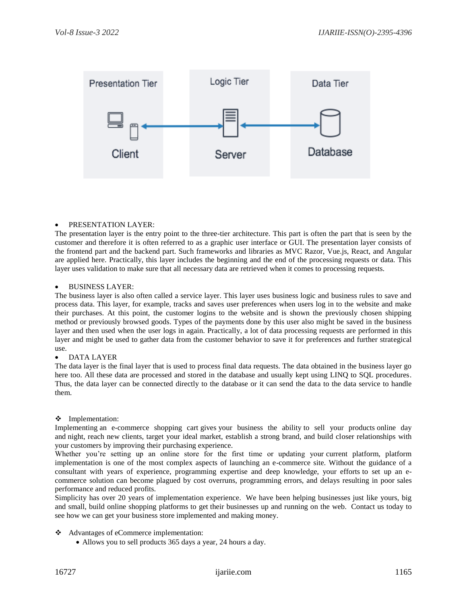

#### PRESENTATION LAYER:

The presentation layer is the entry point to the three-tier architecture. This part is often the part that is seen by the customer and therefore it is often referred to as a graphic user interface or GUI. The presentation layer consists of the frontend part and the backend part. Such frameworks and libraries as MVC Razor, Vue.js, React, and Angular are applied here. Practically, this layer includes the beginning and the end of the processing requests or data. This layer uses validation to make sure that all necessary data are retrieved when it comes to processing requests.

#### BUSINESS LAYER:

The business layer is also often called a service layer. This layer uses business logic and business rules to save and process data. This layer, for example, tracks and saves user preferences when users log in to the website and make their purchases. At this point, the customer logins to the website and is shown the previously chosen shipping method or previously browsed goods. Types of the payments done by this user also might be saved in the business layer and then used when the user logs in again. Practically, a lot of data processing requests are performed in this layer and might be used to gather data from the customer behavior to save it for preferences and further strategical use.

#### DATA LAYER

The data layer is the final layer that is used to process final data requests. The data obtained in the business layer go here too. All these data are processed and stored in the database and usually kept using LINQ to SQL procedures. Thus, the data layer can be connected directly to the database or it can send the data to the data service to handle them.

#### **\*** Implementation:

Implementing an e-commerce shopping cart gives your business the ability to sell your products online day and night, reach new clients, target your ideal market, establish a strong brand, and build closer relationships with your customers by improving their purchasing experience.

Whether you're setting up an online store for the first time or updating your current platform, platform implementation is one of the most complex aspects of launching an e-commerce site. Without the guidance of a consultant with years of experience, programming expertise and deep knowledge, your efforts to set up an ecommerce solution can become plagued by cost overruns, programming errors, and delays resulting in poor sales performance and reduced profits.

Simplicity has over 20 years of implementation experience. We have been helping businesses just like yours, big and small, build online shopping platforms to get their businesses up and running on the web. Contact us today to see how we can get your business store implemented and making money.

- Advantages of eCommerce implementation:
	- Allows you to sell products 365 days a year, 24 hours a day.